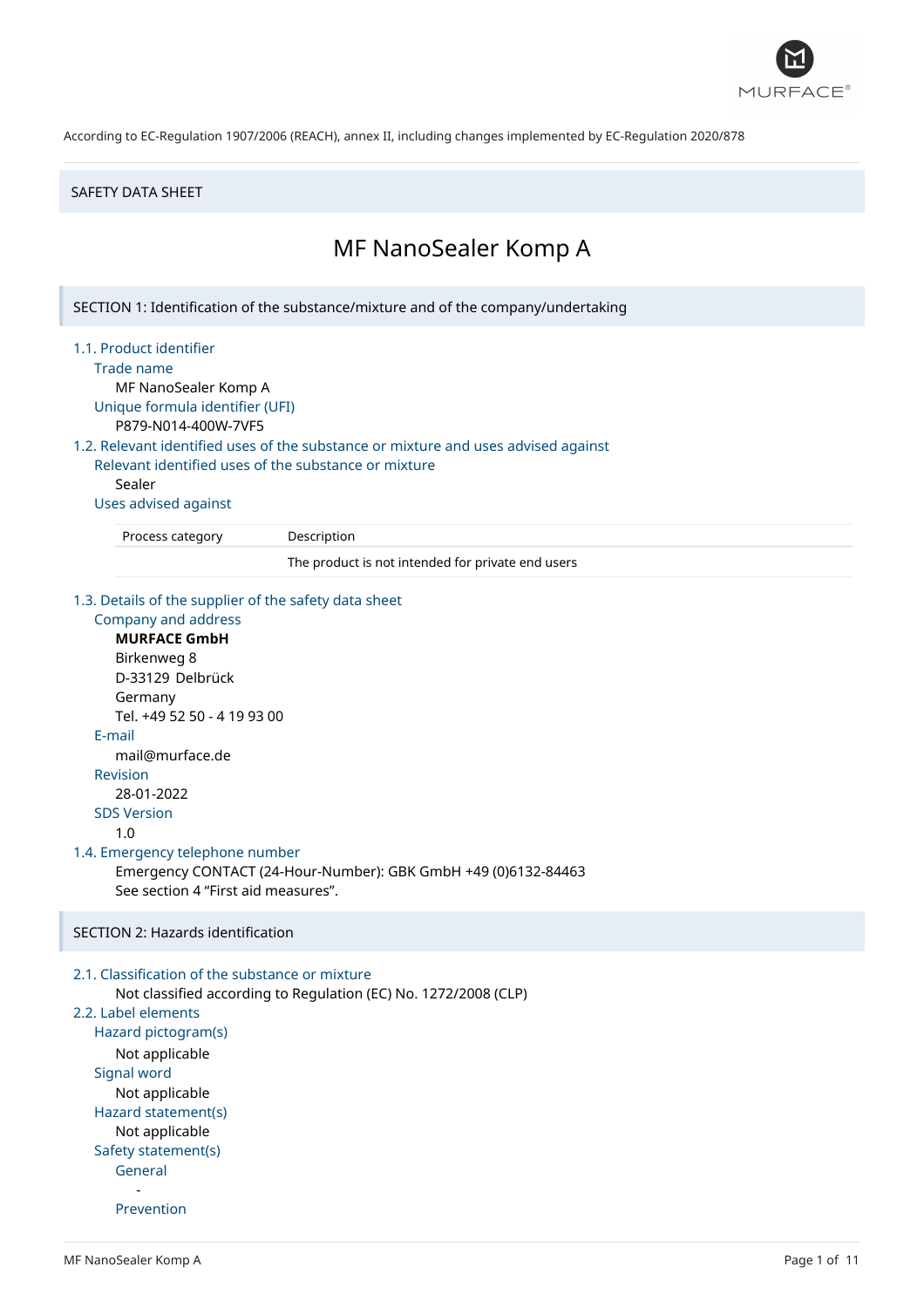

#### SAFETY DATA SHEET

# MF NanoSealer Komp A

SECTION 1: Identification of the substance/mixture and of the company/undertaking

#### 1.1. Product identifier

Trade name

MF NanoSealer Komp A Unique formula identifier (UFI)

P879-N014-400W-7VF5

# 1.2. Relevant identified uses of the substance or mixture and uses advised against

Relevant identified uses of the substance or mixture Sealer

#### Uses advised against

Process category Description

The product is not intended for private end users

#### 1.3. Details of the supplier of the safety data sheet

```
Company and address
     MURFACE GmbH
     Birkenweg 8
     D-33129 Delbrück
     Germany
     Tel. +49 52 50 - 4 19 93 00
  E-mail
     mail@murface.de
  Revision
      28-01-2022
  SDS Version
     1.0
1.4. Emergency telephone number
     Emergency CONTACT (24-Hour-Number): GBK GmbH +49 (0)6132-84463
     See section 4 "First aid measures".
SECTION 2: Hazards identification
2.1. Classification of the substance or mixture
     Not classified according to Regulation (EC) No. 1272/2008 (CLP)
```
# 2.2. Label elements

Hazard pictogram(s) Not applicable Signal word Not applicable Hazard statement(s) Not applicable Safety statement(s) General -

Prevention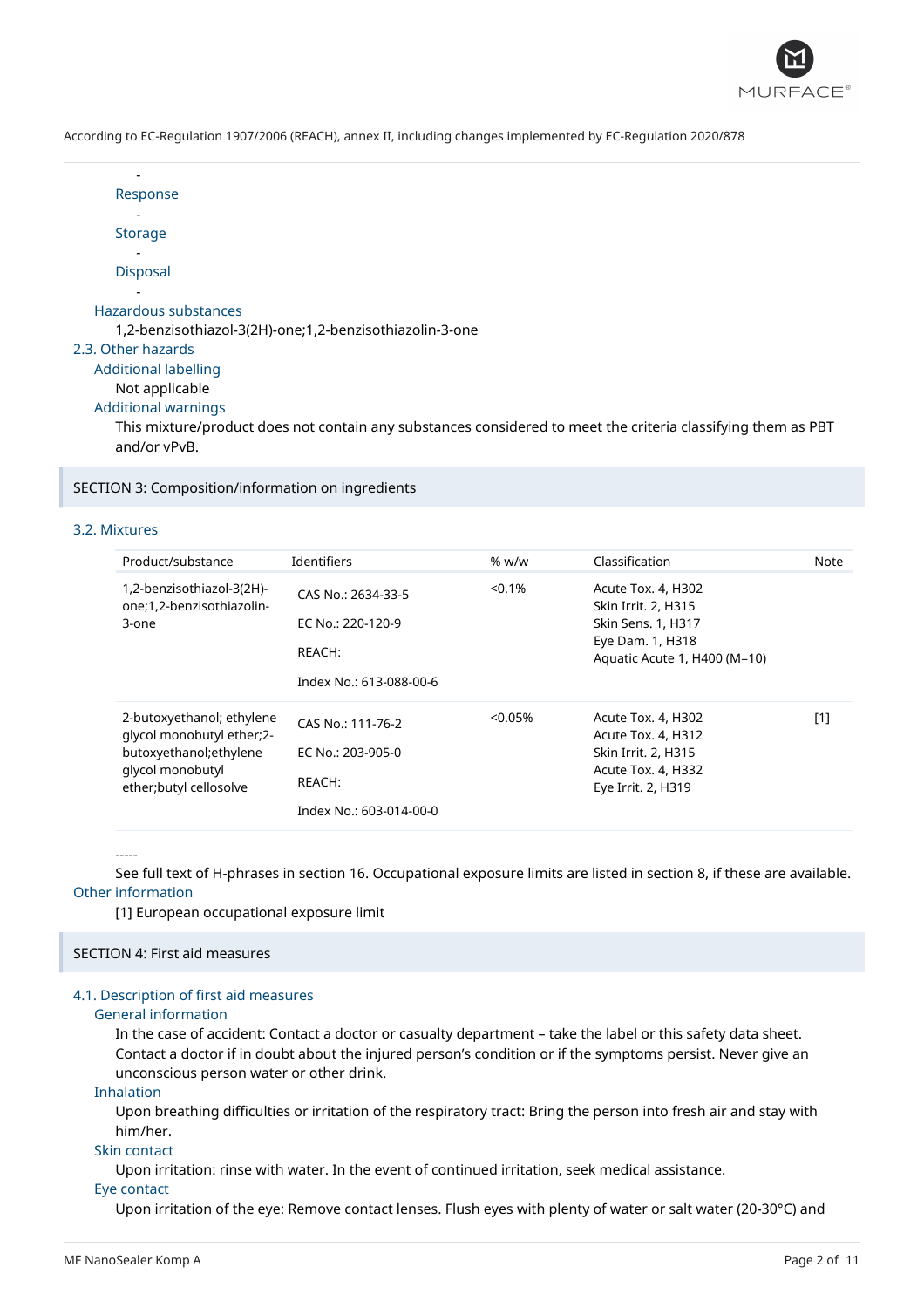

| Response                                                |
|---------------------------------------------------------|
| <b>Storage</b>                                          |
| <b>Disposal</b>                                         |
|                                                         |
| Hazardous substances                                    |
| 1,2-benzisothiazol-3(2H)-one;1,2-benzisothiazolin-3-one |
| 2.3. Other hazards                                      |
| Additional labelling                                    |
| Not applicable                                          |
| <b>Additional warnings</b>                              |

This mixture/product does not contain any substances considered to meet the criteria classifying them as PBT and/or vPvB.

SECTION 3: Composition/information on ingredients

#### 3.2. Mixtures

-

| Product/substance                                                                                                               | <b>Identifiers</b>                                                           | % w/w   | Classification                                                                                                      | Note |
|---------------------------------------------------------------------------------------------------------------------------------|------------------------------------------------------------------------------|---------|---------------------------------------------------------------------------------------------------------------------|------|
| 1,2-benzisothiazol-3(2H)-<br>one;1,2-benzisothiazolin-<br>3-one                                                                 | CAS No.: 2634-33-5<br>EC No.: 220-120-9<br>REACH:<br>Index No.: 613-088-00-6 | < 0.1%  | Acute Tox. 4, H302<br>Skin Irrit. 2, H315<br>Skin Sens. 1, H317<br>Eye Dam. 1, H318<br>Aquatic Acute 1, H400 (M=10) |      |
| 2-butoxyethanol; ethylene<br>qlycol monobutyl ether;2-<br>butoxyethanol;ethylene<br>glycol monobutyl<br>ether; butyl cellosolve | CAS No.: 111-76-2<br>EC No.: 203-905-0<br>REACH:<br>Index No.: 603-014-00-0  | < 0.05% | Acute Tox. 4, H302<br>Acute Tox. 4, H312<br>Skin Irrit. 2, H315<br>Acute Tox. 4, H332<br>Eye Irrit. 2, H319         | [1]  |

-----

See full text of H-phrases in section 16. Occupational exposure limits are listed in section 8, if these are available. Other information

[1] European occupational exposure limit

# SECTION 4: First aid measures

# 4.1. Description of first aid measures

#### General information

In the case of accident: Contact a doctor or casualty department – take the label or this safety data sheet. Contact a doctor if in doubt about the injured person's condition or if the symptoms persist. Never give an unconscious person water or other drink.

#### Inhalation

Upon breathing difficulties or irritation of the respiratory tract: Bring the person into fresh air and stay with him/her.

# Skin contact

Upon irritation: rinse with water. In the event of continued irritation, seek medical assistance.

#### Eye contact

Upon irritation of the eye: Remove contact lenses. Flush eyes with plenty of water or salt water (20-30°C) and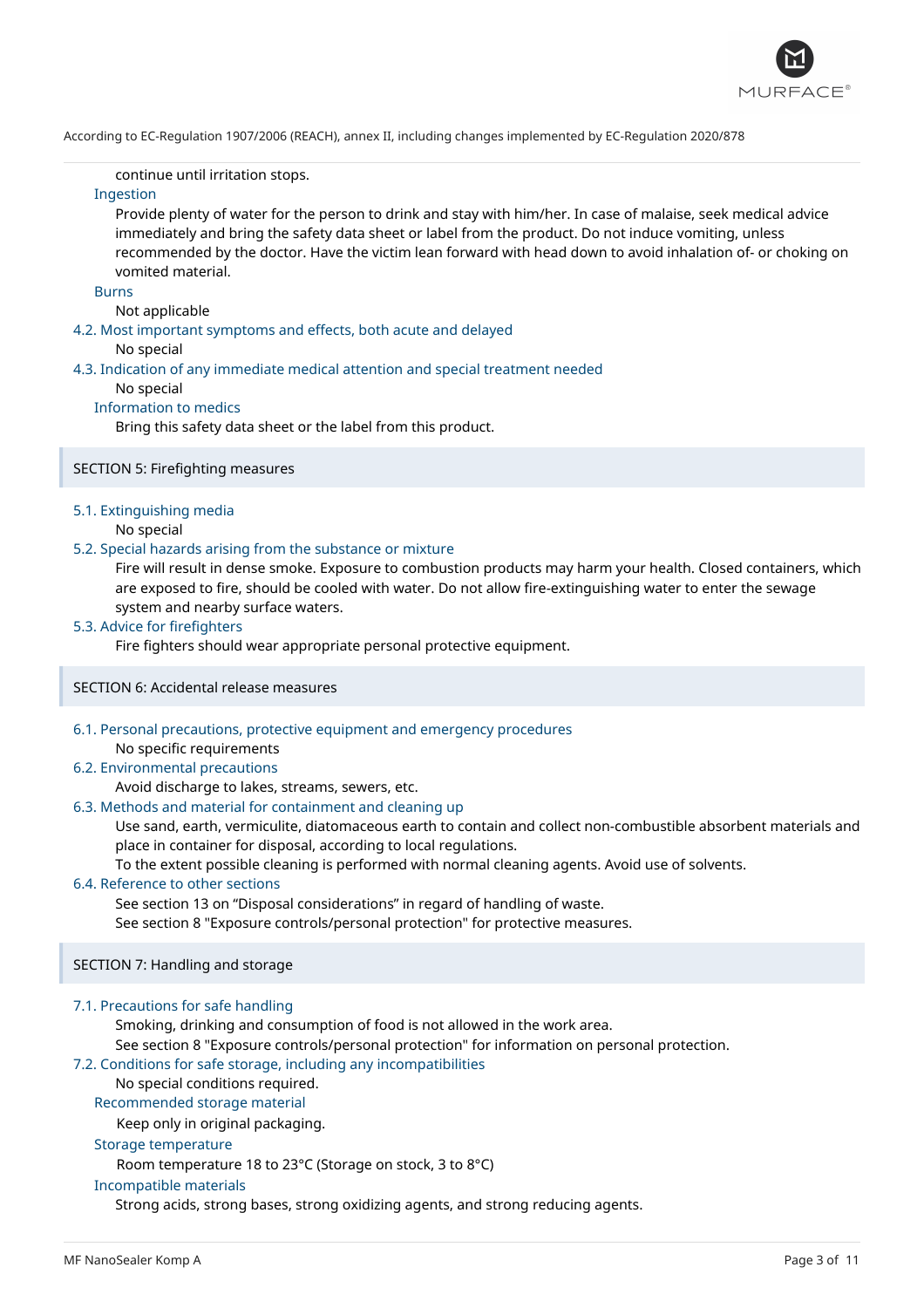

continue until irritation stops.

# Ingestion

Provide plenty of water for the person to drink and stay with him/her. In case of malaise, seek medical advice immediately and bring the safety data sheet or label from the product. Do not induce vomiting, unless recommended by the doctor. Have the victim lean forward with head down to avoid inhalation of- or choking on vomited material.

#### Burns

Not applicable

4.2. Most important symptoms and effects, both acute and delayed

#### No special

4.3. Indication of any immediate medical attention and special treatment needed

#### No special

#### Information to medics

Bring this safety data sheet or the label from this product.

### SECTION 5: Firefighting measures

#### 5.1. Extinguishing media

No special

#### 5.2. Special hazards arising from the substance or mixture

Fire will result in dense smoke. Exposure to combustion products may harm your health. Closed containers, which are exposed to fire, should be cooled with water. Do not allow fire-extinguishing water to enter the sewage system and nearby surface waters.

#### 5.3. Advice for firefighters

Fire fighters should wear appropriate personal protective equipment.

#### SECTION 6: Accidental release measures

6.1. Personal precautions, protective equipment and emergency procedures

No specific requirements

#### 6.2. Environmental precautions

#### Avoid discharge to lakes, streams, sewers, etc.

# 6.3. Methods and material for containment and cleaning up

Use sand, earth, vermiculite, diatomaceous earth to contain and collect non-combustible absorbent materials and place in container for disposal, according to local regulations.

To the extent possible cleaning is performed with normal cleaning agents. Avoid use of solvents.

#### 6.4. Reference to other sections

See section 13 on "Disposal considerations" in regard of handling of waste.

See section 8 "Exposure controls/personal protection" for protective measures.

### SECTION 7: Handling and storage

#### 7.1. Precautions for safe handling

Smoking, drinking and consumption of food is not allowed in the work area.

See section 8 "Exposure controls/personal protection" for information on personal protection.

# 7.2. Conditions for safe storage, including any incompatibilities

### No special conditions required.

Recommended storage material

Keep only in original packaging.

#### Storage temperature

Room temperature 18 to 23°C (Storage on stock, 3 to 8°C)

#### Incompatible materials

Strong acids, strong bases, strong oxidizing agents, and strong reducing agents.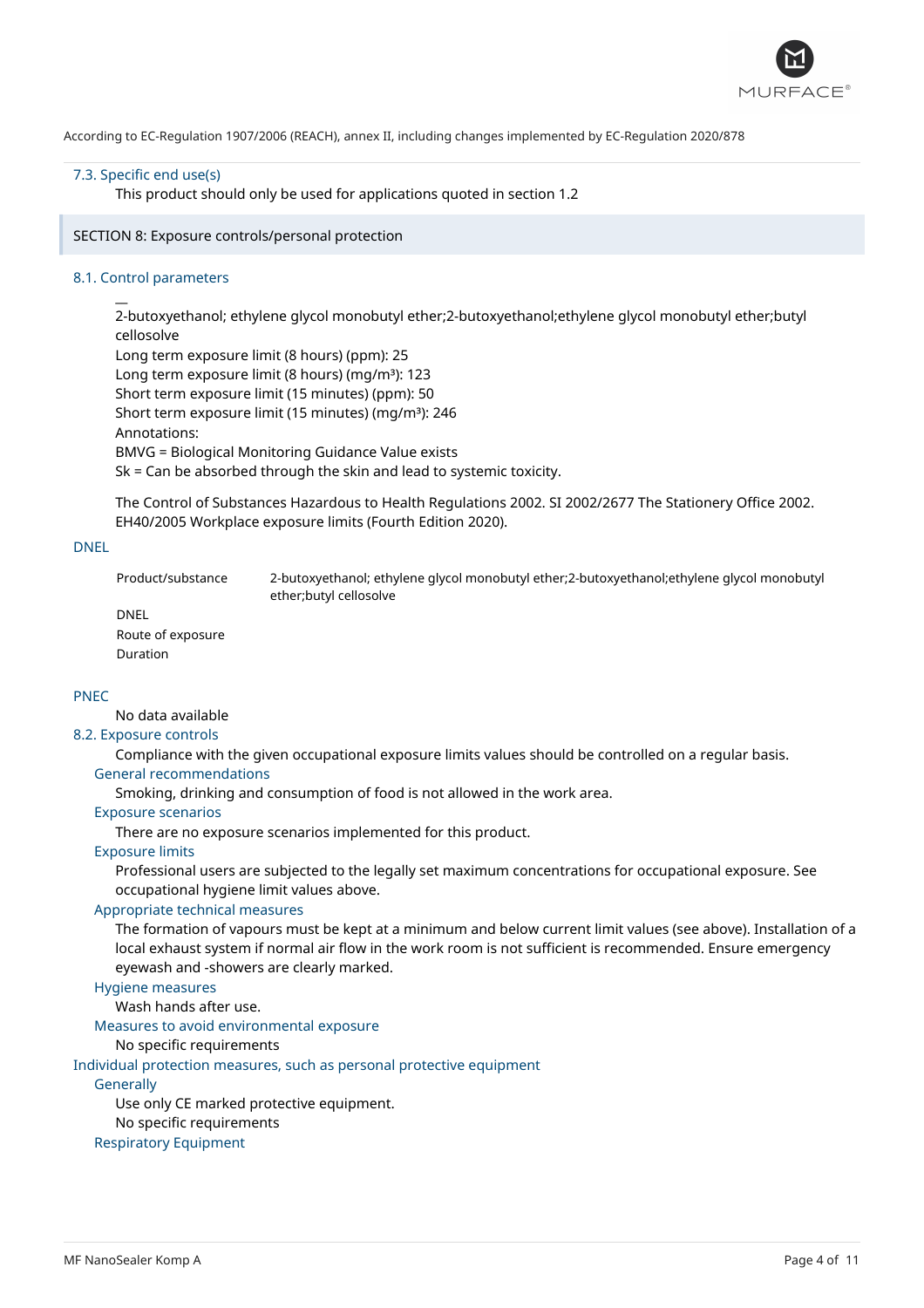

#### 7.3. Specific end use(s)

This product should only be used for applications quoted in section 1.2

SECTION 8: Exposure controls/personal protection

#### 8.1. Control parameters

 $\overline{a}$ 

2-butoxyethanol; ethylene glycol monobutyl ether;2-butoxyethanol;ethylene glycol monobutyl ether;butyl cellosolve Long term exposure limit (8 hours) (ppm): 25

Long term exposure limit (8 hours) (mg/m<sup>3</sup>): 123 Short term exposure limit (15 minutes) (ppm): 50 Short term exposure limit (15 minutes) (mq/m<sup>3</sup>): 246 Annotations: BMVG = Biological Monitoring Guidance Value exists Sk = Can be absorbed through the skin and lead to systemic toxicity.

The Control of Substances Hazardous to Health Regulations 2002. SI 2002/2677 The Stationery Office 2002. EH40/2005 Workplace exposure limits (Fourth Edition 2020).

#### DNEL

Product/substance 2-butoxyethanol; ethylene glycol monobutyl ether;2-butoxyethanol;ethylene glycol monobutyl ether;butyl cellosolve

DNEL

Route of exposure Duration

# PNEC

No data available

#### 8.2. Exposure controls

Compliance with the given occupational exposure limits values should be controlled on a regular basis. General recommendations

Smoking, drinking and consumption of food is not allowed in the work area.

Exposure scenarios

There are no exposure scenarios implemented for this product.

# Exposure limits

Professional users are subjected to the legally set maximum concentrations for occupational exposure. See occupational hygiene limit values above.

# Appropriate technical measures

The formation of vapours must be kept at a minimum and below current limit values (see above). Installation of a local exhaust system if normal air flow in the work room is not sufficient is recommended. Ensure emergency eyewash and -showers are clearly marked.

# Hygiene measures

Wash hands after use.

Measures to avoid environmental exposure

## No specific requirements

Individual protection measures, such as personal protective equipment

**Generally** 

Use only CE marked protective equipment.

No specific requirements

# Respiratory Equipment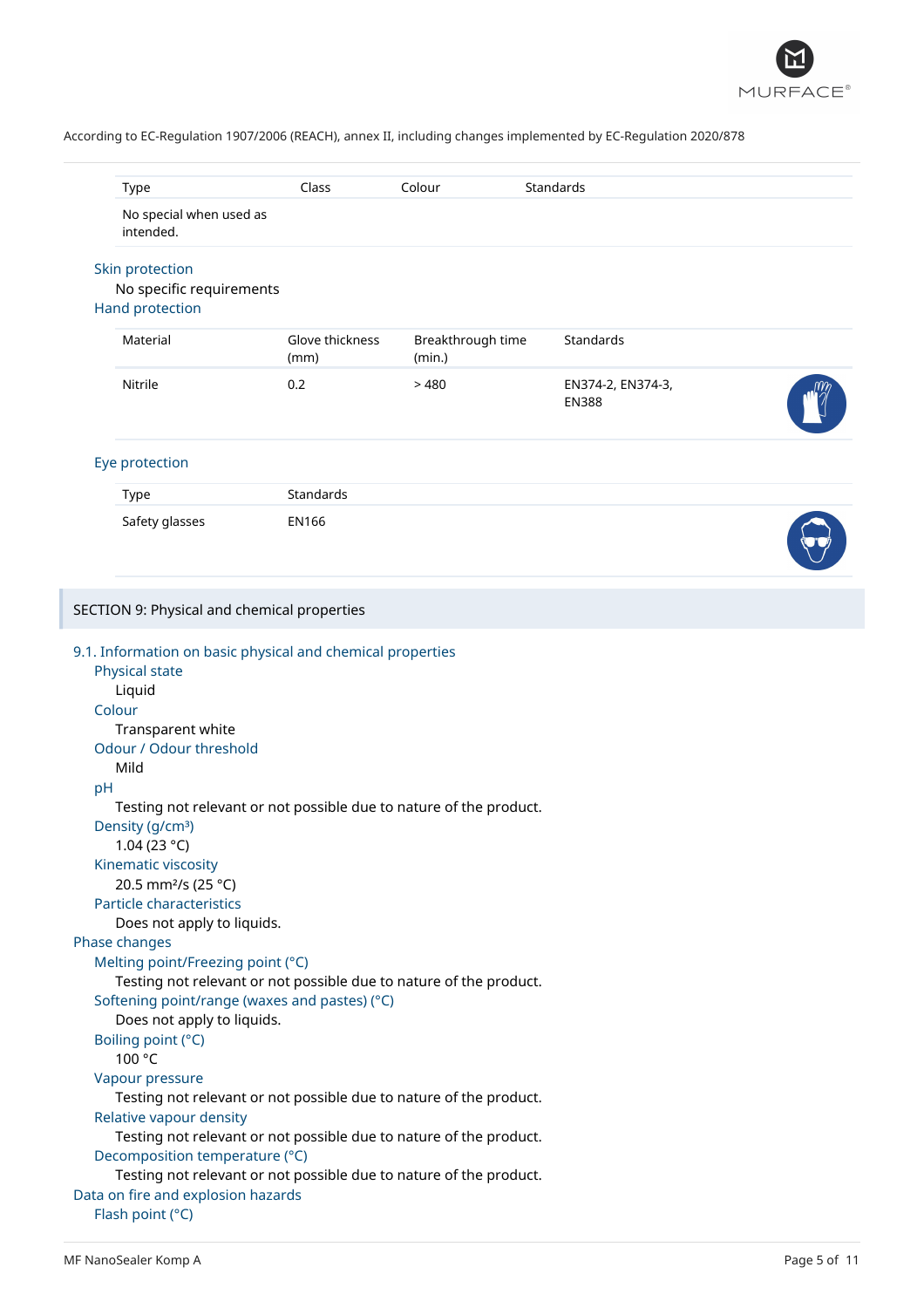

|                                                                                                                                                                                                                                                                                                                                                                                                                                                                                                                                                                                                                                                                                                                                                                         |                         |                             | Standards                         |  |
|-------------------------------------------------------------------------------------------------------------------------------------------------------------------------------------------------------------------------------------------------------------------------------------------------------------------------------------------------------------------------------------------------------------------------------------------------------------------------------------------------------------------------------------------------------------------------------------------------------------------------------------------------------------------------------------------------------------------------------------------------------------------------|-------------------------|-----------------------------|-----------------------------------|--|
| <b>Type</b>                                                                                                                                                                                                                                                                                                                                                                                                                                                                                                                                                                                                                                                                                                                                                             | Class                   | Colour                      |                                   |  |
| No special when used as<br>intended.                                                                                                                                                                                                                                                                                                                                                                                                                                                                                                                                                                                                                                                                                                                                    |                         |                             |                                   |  |
| Skin protection<br>No specific requirements<br><b>Hand protection</b>                                                                                                                                                                                                                                                                                                                                                                                                                                                                                                                                                                                                                                                                                                   |                         |                             |                                   |  |
| Material                                                                                                                                                                                                                                                                                                                                                                                                                                                                                                                                                                                                                                                                                                                                                                | Glove thickness<br>(mm) | Breakthrough time<br>(min.) | Standards                         |  |
| Nitrile                                                                                                                                                                                                                                                                                                                                                                                                                                                                                                                                                                                                                                                                                                                                                                 | 0.2                     | >480                        | EN374-2, EN374-3,<br><b>EN388</b> |  |
| Eye protection                                                                                                                                                                                                                                                                                                                                                                                                                                                                                                                                                                                                                                                                                                                                                          |                         |                             |                                   |  |
| Type                                                                                                                                                                                                                                                                                                                                                                                                                                                                                                                                                                                                                                                                                                                                                                    | Standards               |                             |                                   |  |
| Safety glasses                                                                                                                                                                                                                                                                                                                                                                                                                                                                                                                                                                                                                                                                                                                                                          | <b>EN166</b>            |                             |                                   |  |
| SECTION 9: Physical and chemical properties                                                                                                                                                                                                                                                                                                                                                                                                                                                                                                                                                                                                                                                                                                                             |                         |                             |                                   |  |
| 9.1. Information on basic physical and chemical properties<br>Physical state<br>Liquid<br>Colour<br>Transparent white<br>Odour / Odour threshold<br>Mild<br>pH<br>Testing not relevant or not possible due to nature of the product.<br>Density (g/cm <sup>3</sup> )<br>1.04 (23 °C)<br>Kinematic viscosity<br>20.5 mm <sup>2</sup> /s (25 °C)<br>Particle characteristics<br>Does not apply to liquids.<br>Phase changes<br>Melting point/Freezing point (°C)<br>Testing not relevant or not possible due to nature of the product.<br>Softening point/range (waxes and pastes) (°C)<br>Does not apply to liquids.<br>Boiling point (°C)<br>100 °C<br>Vapour pressure<br>Testing not relevant or not possible due to nature of the product.<br>Relative vapour density |                         |                             |                                   |  |
| Testing not relevant or not possible due to nature of the product.<br>Decomposition temperature (°C)<br>Testing not relevant or not possible due to nature of the product.<br>Data on fire and explosion hazards<br>Flash point (°C)                                                                                                                                                                                                                                                                                                                                                                                                                                                                                                                                    |                         |                             |                                   |  |

I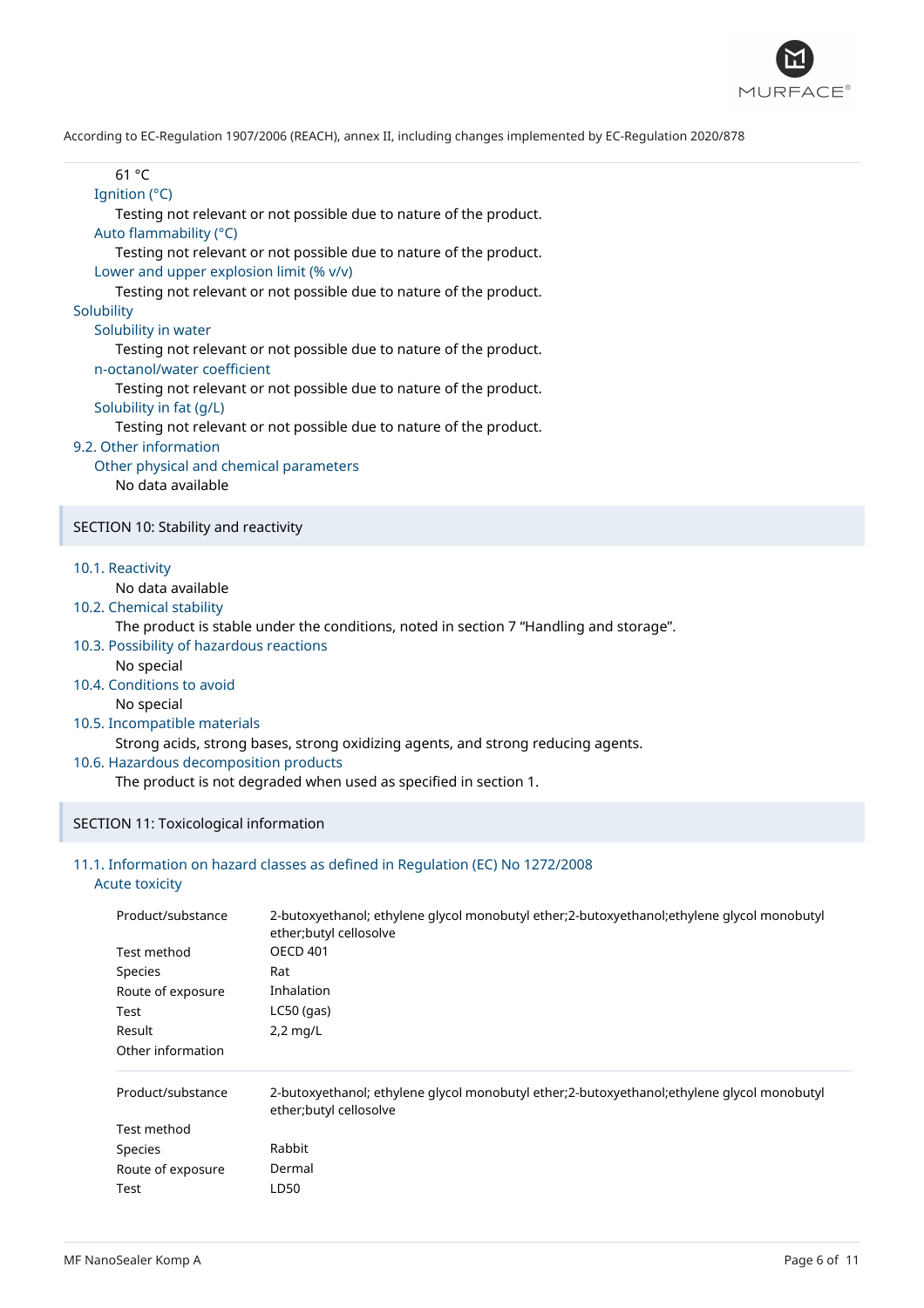

| rccoruniy to EC-Regulation 190772000 (REACH), annex II, incluumiy changes implemented by EC-Regulation 2020/070 |
|-----------------------------------------------------------------------------------------------------------------|
| 61 °C                                                                                                           |
| Ignition (°C)                                                                                                   |
| Testing not relevant or not possible due to nature of the product.                                              |
| Auto flammability (°C)                                                                                          |
| Testing not relevant or not possible due to nature of the product.                                              |
| Lower and upper explosion limit (% v/v)                                                                         |
| Testing not relevant or not possible due to nature of the product.                                              |
| Solubility                                                                                                      |
| Solubility in water                                                                                             |
| Testing not relevant or not possible due to nature of the product.                                              |
| n-octanol/water coefficient                                                                                     |
| Testing not relevant or not possible due to nature of the product.                                              |
| Solubility in fat (g/L)                                                                                         |
| Testing not relevant or not possible due to nature of the product.                                              |
| 9.2. Other information                                                                                          |
| Other physical and chemical parameters                                                                          |
| No data available                                                                                               |
| SECTION 10: Stability and reactivity                                                                            |
|                                                                                                                 |
| 10.1. Reactivity                                                                                                |
| No data available                                                                                               |
| 10.2. Chemical stability                                                                                        |
| The product is stable under the conditions, noted in section 7 "Handling and storage".                          |
| 10.3. Possibility of hazardous reactions                                                                        |
| No special                                                                                                      |
| 10.4. Conditions to avoid                                                                                       |
| No special                                                                                                      |
| 10.5. Incompatible materials                                                                                    |
| Strong acids, strong bases, strong oxidizing agents, and strong reducing agents.                                |
| 10.6. Hazardous decomposition products                                                                          |
| The product is not degraded when used as specified in section 1.                                                |
|                                                                                                                 |
| SECTION 11: Toxicological information                                                                           |
|                                                                                                                 |

# 11.1. Information on hazard classes as defined in Regulation (EC) No 1272/2008

# Acute toxicity

I

| Product/substance | 2-butoxyethanol; ethylene glycol monobutyl ether;2-butoxyethanol; ethylene glycol monobutyl |
|-------------------|---------------------------------------------------------------------------------------------|
| Test method       | ether; butyl cellosolve                                                                     |
| Species           | <b>OECD 401</b>                                                                             |
| Route of exposure | Rat                                                                                         |
| Test              | Inhalation                                                                                  |
| Result            | $LC50$ (gas)                                                                                |
| Other information | $2,2$ mg/L                                                                                  |
| Product/substance | 2-butoxyethanol; ethylene glycol monobutyl ether;2-butoxyethanol;ethylene glycol monobutyl  |
| Test method       | ether;butyl cellosolve                                                                      |
| Species           | Rabbit                                                                                      |
| Route of exposure | Dermal                                                                                      |
| Test              | LD50                                                                                        |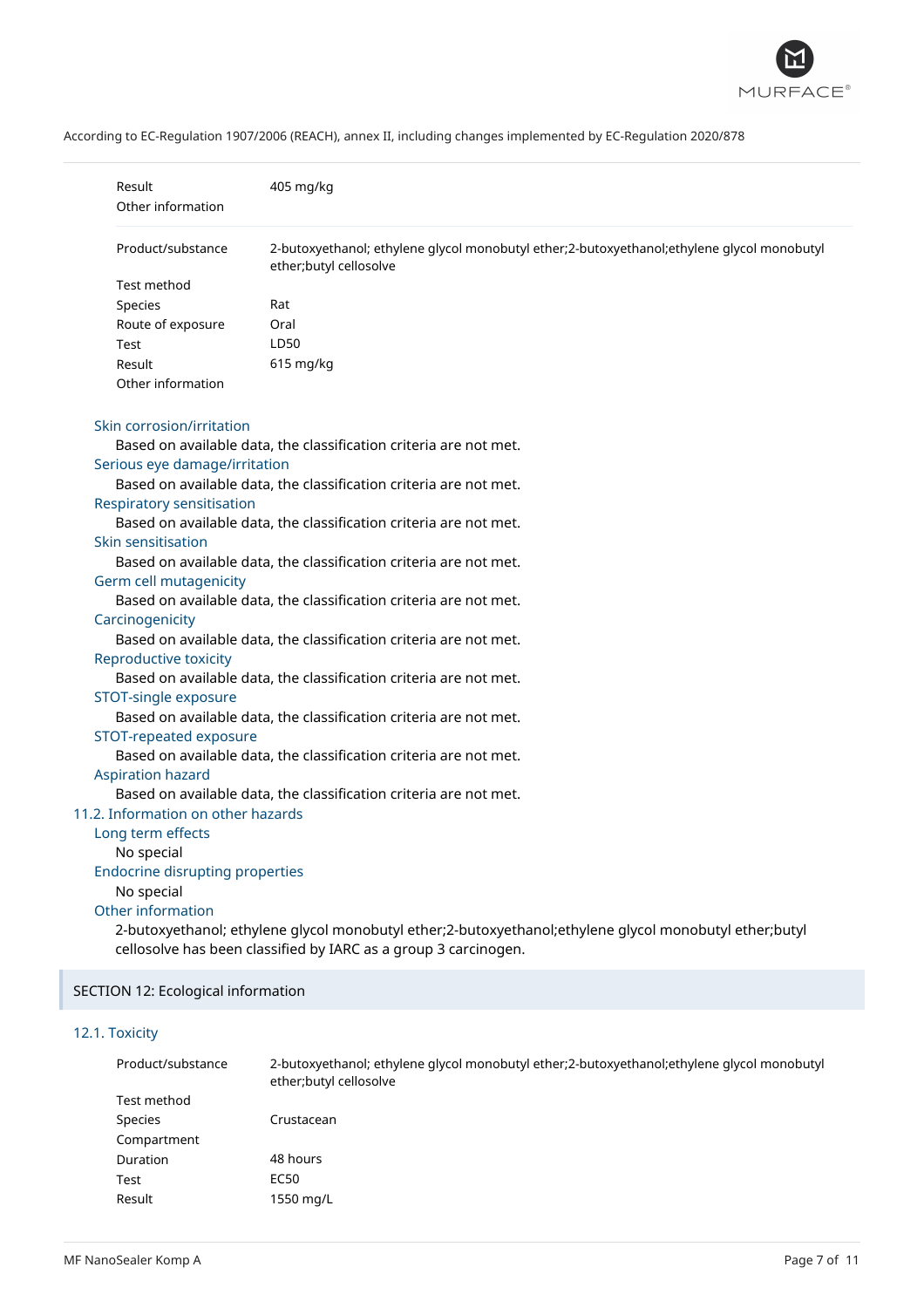

|  |  |  | According to EC-Regulation 1907/2006 (REACH), annex II, including changes implemented by EC-Regulation 2020/878 |
|--|--|--|-----------------------------------------------------------------------------------------------------------------|
|--|--|--|-----------------------------------------------------------------------------------------------------------------|

| Result<br>Other information            | 405 mg/kg                                                                                                            |
|----------------------------------------|----------------------------------------------------------------------------------------------------------------------|
| Product/substance                      | 2-butoxyethanol; ethylene glycol monobutyl ether;2-butoxyethanol;ethylene glycol monobutyl<br>ether;butyl cellosolve |
| Test method                            |                                                                                                                      |
| Species                                | Rat                                                                                                                  |
| Route of exposure                      | Oral                                                                                                                 |
| Test                                   | LD50                                                                                                                 |
| Result                                 | 615 mg/kg                                                                                                            |
| Other information                      |                                                                                                                      |
| Skin corrosion/irritation              |                                                                                                                      |
|                                        | Based on available data, the classification criteria are not met.                                                    |
| Serious eye damage/irritation          |                                                                                                                      |
|                                        | Based on available data, the classification criteria are not met.                                                    |
| Respiratory sensitisation              |                                                                                                                      |
|                                        | Based on available data, the classification criteria are not met.                                                    |
| Skin sensitisation                     |                                                                                                                      |
|                                        | Based on available data, the classification criteria are not met.                                                    |
| Germ cell mutagenicity                 |                                                                                                                      |
|                                        | Based on available data, the classification criteria are not met.                                                    |
| Carcinogenicity                        |                                                                                                                      |
|                                        | Based on available data, the classification criteria are not met.                                                    |
| Reproductive toxicity                  |                                                                                                                      |
|                                        | Based on available data, the classification criteria are not met.                                                    |
| STOT-single exposure                   |                                                                                                                      |
|                                        | Based on available data, the classification criteria are not met.                                                    |
| STOT-repeated exposure                 |                                                                                                                      |
|                                        | Based on available data, the classification criteria are not met.                                                    |
| <b>Aspiration hazard</b>               |                                                                                                                      |
| 11.2. Information on other hazards     | Based on available data, the classification criteria are not met.                                                    |
|                                        |                                                                                                                      |
| Long term effects<br>No special        |                                                                                                                      |
| <b>Endocrine disrupting properties</b> |                                                                                                                      |
| No special                             |                                                                                                                      |
| Other information                      |                                                                                                                      |
|                                        | 2-butoxyethanol; ethylene glycol monobutyl ether;2-butoxyethanol;ethylene glycol monobutyl ether;butyl               |
|                                        | cellosolve has been classified by IARC as a group 3 carcinogen.                                                      |
|                                        |                                                                                                                      |
| SECTION 12: Ecological information     |                                                                                                                      |

# 12.1. Toxicity

| Product/substance | 2-butoxyethanol; ethylene glycol monobutyl ether;2-butoxyethanol; ethylene glycol monobutyl<br>ether; butyl cellosolve |
|-------------------|------------------------------------------------------------------------------------------------------------------------|
| Test method       |                                                                                                                        |
| Species           | Crustacean                                                                                                             |
| Compartment       |                                                                                                                        |
| Duration          | 48 hours                                                                                                               |
| Test              | EC50                                                                                                                   |
| Result            | 1550 mg/L                                                                                                              |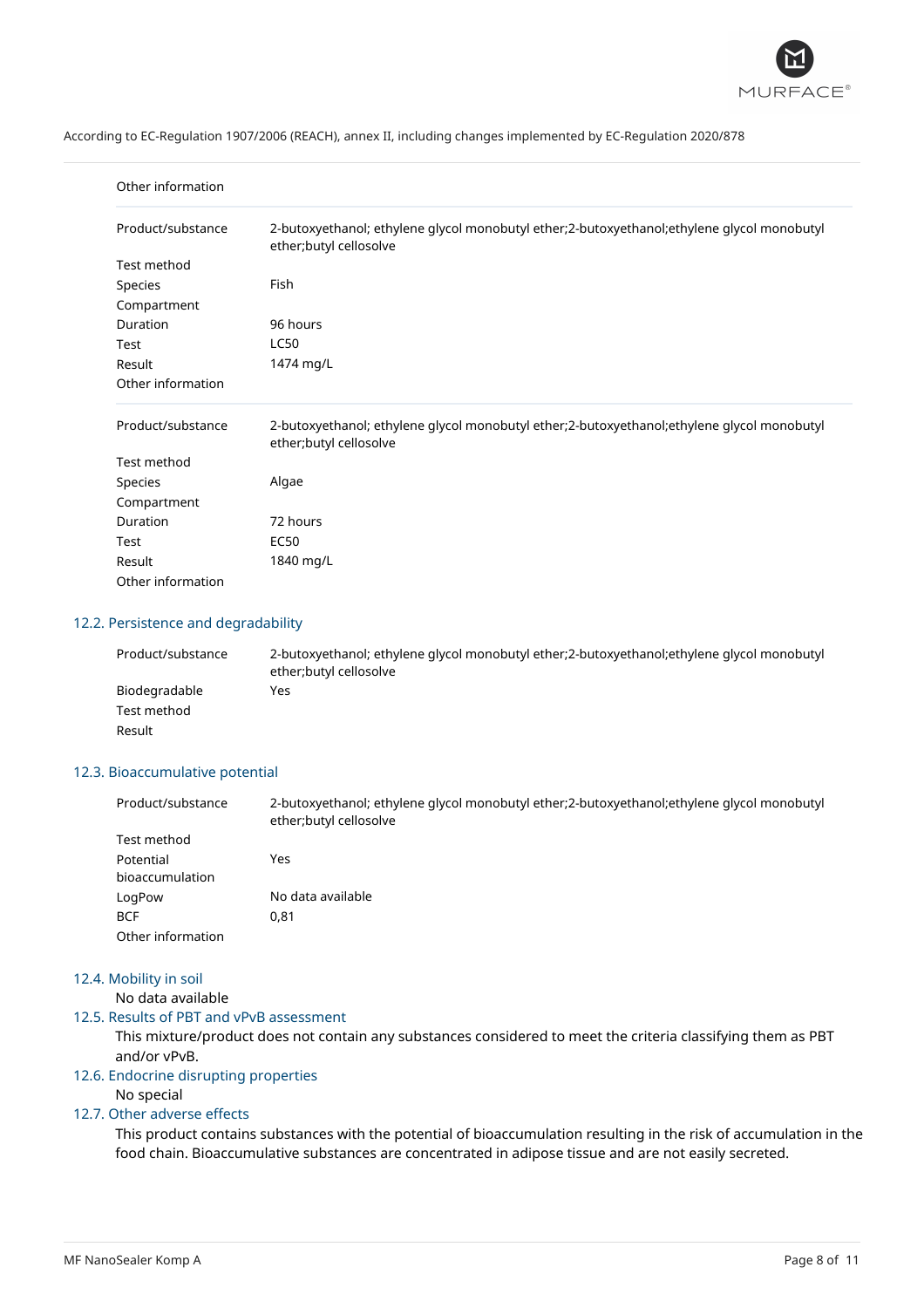

| Other information |                                                                                                                       |
|-------------------|-----------------------------------------------------------------------------------------------------------------------|
| Product/substance | 2-butoxyethanol; ethylene glycol monobutyl ether;2-butoxyethanol;ethylene glycol monobutyl<br>ether; butyl cellosolve |
| Test method       |                                                                                                                       |
| Species           | Fish                                                                                                                  |
| Compartment       |                                                                                                                       |
| Duration          | 96 hours                                                                                                              |
| Test              | <b>LC50</b>                                                                                                           |
| Result            | 1474 mg/L                                                                                                             |
| Other information |                                                                                                                       |
| Product/substance | 2-butoxyethanol; ethylene glycol monobutyl ether;2-butoxyethanol;ethylene glycol monobutyl<br>ether; butyl cellosolve |
| Test method       |                                                                                                                       |
| Species           | Algae                                                                                                                 |
| Compartment       |                                                                                                                       |
| Duration          | 72 hours                                                                                                              |
| Test              | <b>EC50</b>                                                                                                           |
| Result            | 1840 mg/L                                                                                                             |
| Other information |                                                                                                                       |

# 12.2. Persistence and degradability

| Product/substance | 2-butoxyethanol; ethylene glycol monobutyl ether; 2-butoxyethanol; ethylene glycol monobutyl<br>ether; butyl cellosolve |
|-------------------|-------------------------------------------------------------------------------------------------------------------------|
| Biodegradable     | Yes                                                                                                                     |
| Test method       |                                                                                                                         |
| Result            |                                                                                                                         |

# 12.3. Bioaccumulative potential

| Product/substance | 2-butoxyethanol; ethylene glycol monobutyl ether; 2-butoxyethanol; ethylene glycol monobutyl<br>ether; butyl cellosolve |
|-------------------|-------------------------------------------------------------------------------------------------------------------------|
| Test method       |                                                                                                                         |
| Potential         | Yes                                                                                                                     |
| bioaccumulation   |                                                                                                                         |
| LogPow            | No data available                                                                                                       |
| <b>BCF</b>        | 0.81                                                                                                                    |
| Other information |                                                                                                                         |

# 12.4. Mobility in soil

No data available

# 12.5. Results of PBT and vPvB assessment

This mixture/product does not contain any substances considered to meet the criteria classifying them as PBT and/or vPvB.

#### 12.6. Endocrine disrupting properties

# No special

# 12.7. Other adverse effects

This product contains substances with the potential of bioaccumulation resulting in the risk of accumulation in the food chain. Bioaccumulative substances are concentrated in adipose tissue and are not easily secreted.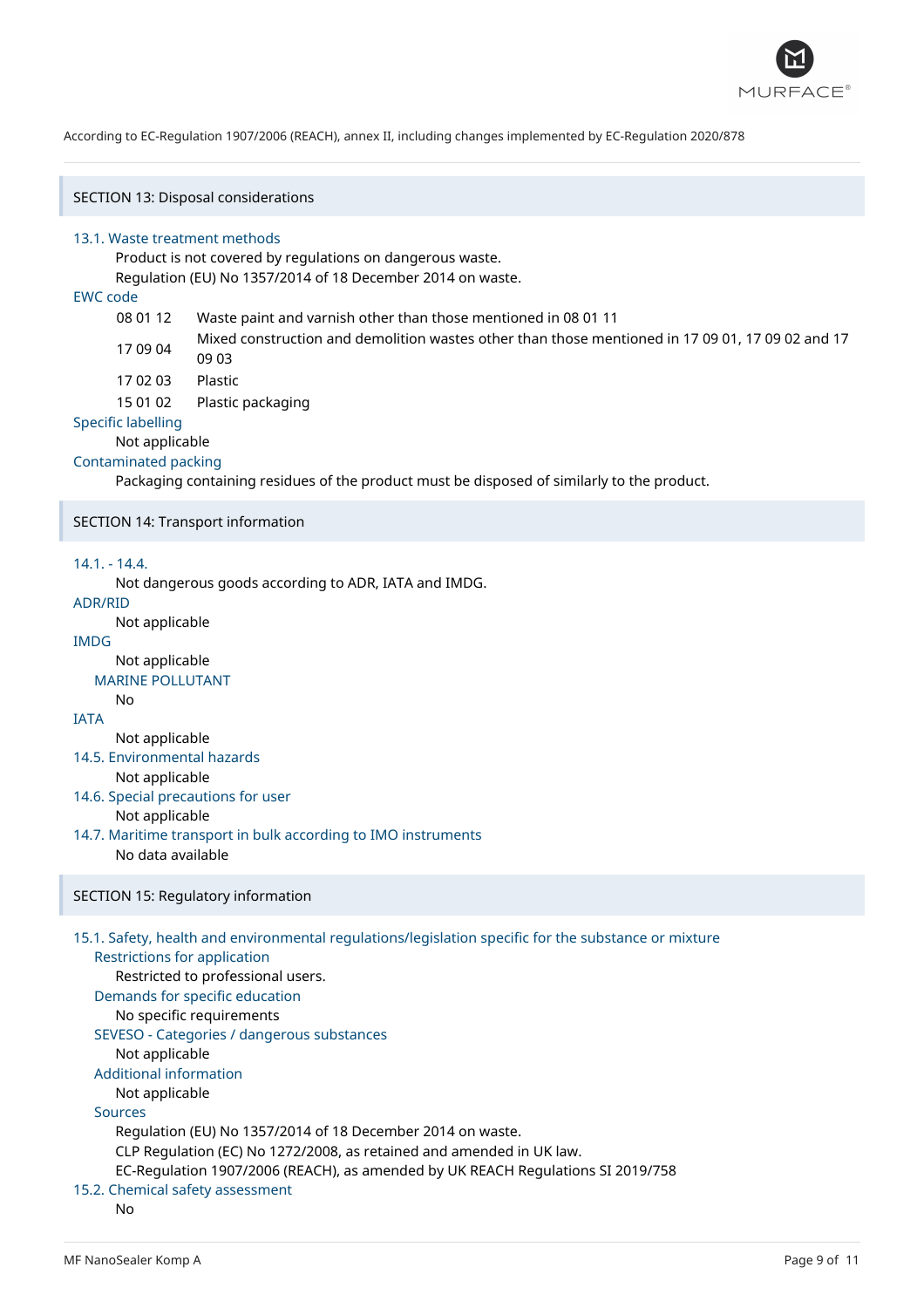

SECTION 13: Disposal considerations

#### 13.1. Waste treatment methods

Product is not covered by regulations on dangerous waste.

Regulation (EU) No 1357/2014 of 18 December 2014 on waste.

# EWC code

- 08 01 12 Waste paint and varnish other than those mentioned in 08 01 11
- 17 09 04 Mixed construction and demolition wastes other than those mentioned in 17 09 01, 17 09 02 and 17 09 03
- 17 02 03 Plastic
	- 15 01 02 Plastic packaging

## Specific labelling

Not applicable

#### Contaminated packing

Packaging containing residues of the product must be disposed of similarly to the product.

#### SECTION 14: Transport information

#### 14.1. - 14.4.

Not dangerous goods according to ADR, IATA and IMDG.

# ADR/RID

Not applicable

# IMDG

Not applicable MARINE POLLUTANT

No

### IATA

Not applicable

14.5. Environmental hazards

- Not applicable
- 14.6. Special precautions for user Not applicable
- 14.7. Maritime transport in bulk according to IMO instruments No data available

#### SECTION 15: Regulatory information

# 15.1. Safety, health and environmental regulations/legislation specific for the substance or mixture Restrictions for application Restricted to professional users. Demands for specific education No specific requirements SEVESO - Categories / dangerous substances Not applicable Additional information Not applicable Sources Regulation (EU) No 1357/2014 of 18 December 2014 on waste. CLP Regulation (EC) No 1272/2008, as retained and amended in UK law. EC-Regulation 1907/2006 (REACH), as amended by UK REACH Regulations SI 2019/758 15.2. Chemical safety assessment No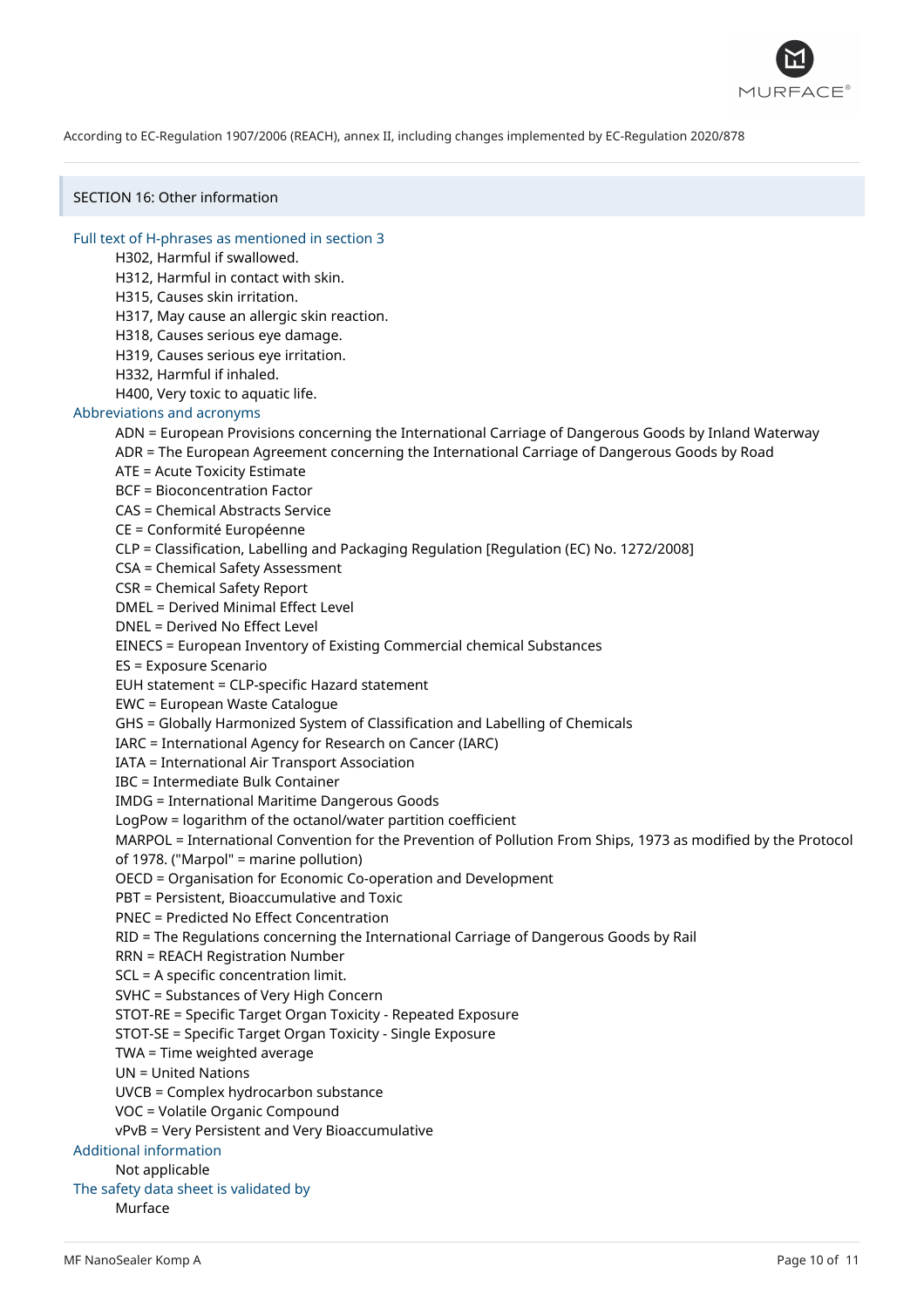

SECTION 16: Other information

Full text of H-phrases as mentioned in section 3

- H302, Harmful if swallowed.
- H312, Harmful in contact with skin.
- H315, Causes skin irritation.
- H317, May cause an allergic skin reaction.
- H318, Causes serious eye damage.
- H319, Causes serious eye irritation.
- H332, Harmful if inhaled.
- H400, Very toxic to aquatic life.

# Abbreviations and acronyms

- ADN = European Provisions concerning the International Carriage of Dangerous Goods by Inland Waterway
- ADR = The European Agreement concerning the International Carriage of Dangerous Goods by Road
- ATE = Acute Toxicity Estimate
- BCF = Bioconcentration Factor
- CAS = Chemical Abstracts Service
- CE = Conformité Européenne
- CLP = Classification, Labelling and Packaging Regulation [Regulation (EC) No. 1272/2008]
- CSA = Chemical Safety Assessment
- CSR = Chemical Safety Report
- DMEL = Derived Minimal Effect Level
- DNEL = Derived No Effect Level
- EINECS = European Inventory of Existing Commercial chemical Substances
- ES = Exposure Scenario
- EUH statement = CLP-specific Hazard statement
- EWC = European Waste Catalogue
- GHS = Globally Harmonized System of Classification and Labelling of Chemicals
- IARC = International Agency for Research on Cancer (IARC)
- IATA = International Air Transport Association
- IBC = Intermediate Bulk Container
- IMDG = International Maritime Dangerous Goods
- LogPow = logarithm of the octanol/water partition coefficient
- MARPOL = International Convention for the Prevention of Pollution From Ships, 1973 as modified by the Protocol of 1978. ("Marpol" = marine pollution)
- 
- OECD = Organisation for Economic Co-operation and Development
- PBT = Persistent, Bioaccumulative and Toxic
- PNEC = Predicted No Effect Concentration
- RID = The Regulations concerning the International Carriage of Dangerous Goods by Rail
- RRN = REACH Registration Number
- SCL = A specific concentration limit.
- SVHC = Substances of Very High Concern
- STOT-RE = Specific Target Organ Toxicity Repeated Exposure
- STOT-SE = Specific Target Organ Toxicity Single Exposure
- TWA = Time weighted average
- UN = United Nations
- UVCB = Complex hydrocarbon substance
- VOC = Volatile Organic Compound
- vPvB = Very Persistent and Very Bioaccumulative
- Additional information

### Not applicable

- The safety data sheet is validated by
	- Murface